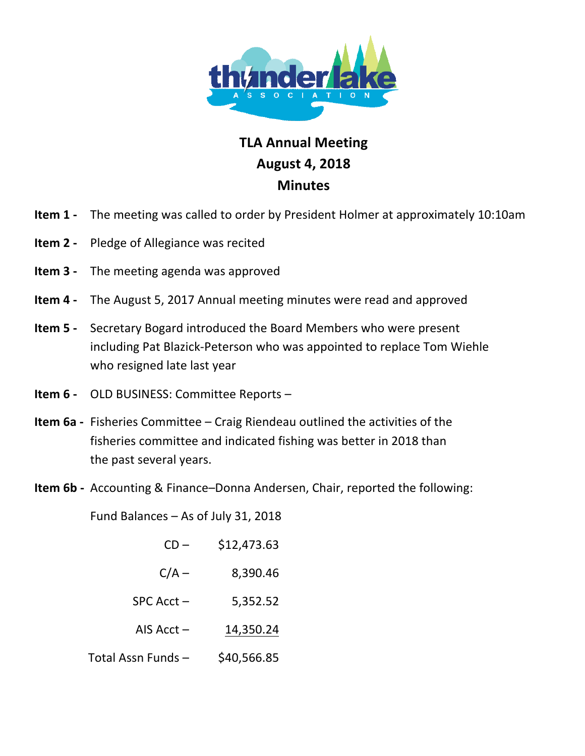

## **TLA Annual Meeting August!4,!2018 Minutes**

- **Item 1** The meeting was called to order by President Holmer at approximately 10:10am
- **Item 2** Pledge of Allegiance was recited
- **Item 3** The meeting agenda was approved
- **Item 4** The August 5, 2017 Annual meeting minutes were read and approved
- **Item 5** Secretary Bogard introduced the Board Members who were present including Pat Blazick-Peterson who was appointed to replace Tom Wiehle who resigned late last year
- **Item 6** OLD BUSINESS: Committee Reports –
- **Item 6a** Fisheries Committee Craig Riendeau outlined the activities of the fisheries committee and indicated fishing was better in 2018 than the past several years.
- **Item 6b** Accounting & Finance–Donna Andersen, Chair, reported the following:

Fund Balances – As of July 31, 2018

| $CD -$             | \$12,473.63 |
|--------------------|-------------|
| $C/A -$            | 8,390.46    |
| $SPC$ Acct $-$     | 5,352.52    |
| AIS Acct $-$       | 14,350.24   |
| Total Assn Funds - | \$40,566.85 |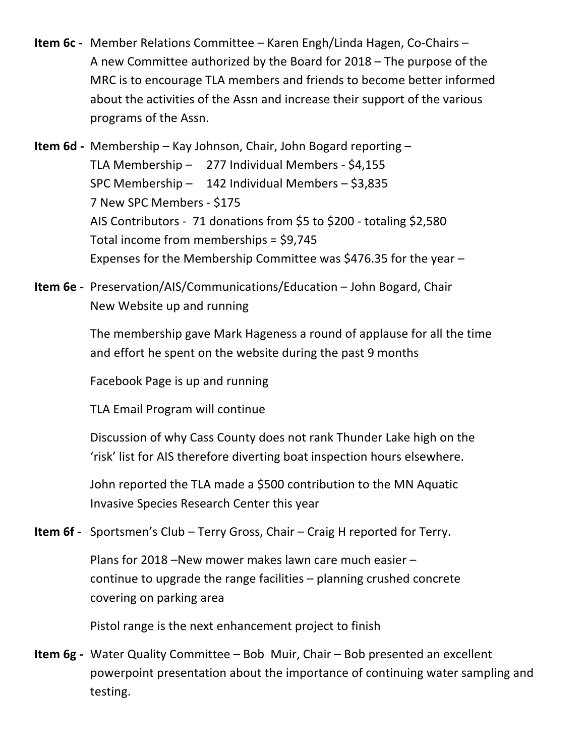- **Item 6c** Member Relations Committee Karen Engh/Linda Hagen, Co-Chairs A new Committee authorized by the Board for  $2018$  – The purpose of the MRC is to encourage TLA members and friends to become better informed about the activities of the Assn and increase their support of the various programs of the Assn.
- **Item 6d** Membership Kay Johnson, Chair, John Bogard reporting TLA Membership  $-$  277 Individual Members - \$4,155 SPC Membership – 142 Individual Members –  $$3,835$ 7 New SPC Members - \$175 AIS Contributors - 71 donations from \$5 to \$200 - totaling \$2,580 Total income from memberships =  $$9,745$ Expenses for the Membership Committee was \$476.35 for the year –
- **Item 6e** Preservation/AIS/Communications/Education John Bogard, Chair New Website up and running

The membership gave Mark Hageness a round of applause for all the time and effort he spent on the website during the past 9 months

Facebook Page is up and running

TLA Email Program will continue

Discussion of why Cass County does not rank Thunder Lake high on the 'risk' list for AIS therefore diverting boat inspection hours elsewhere.

John reported the TLA made a \$500 contribution to the MN Aquatic Invasive Species Research Center this year

**Item 6f** - Sportsmen's Club – Terry Gross, Chair – Craig H reported for Terry.

Plans for 2018 –New mower makes lawn care much easier – continue to upgrade the range facilities  $-$  planning crushed concrete covering on parking area

Pistol range is the next enhancement project to finish

**Item 6g** - Water Quality Committee – Bob Muir, Chair – Bob presented an excellent powerpoint presentation about the importance of continuing water sampling and testing.